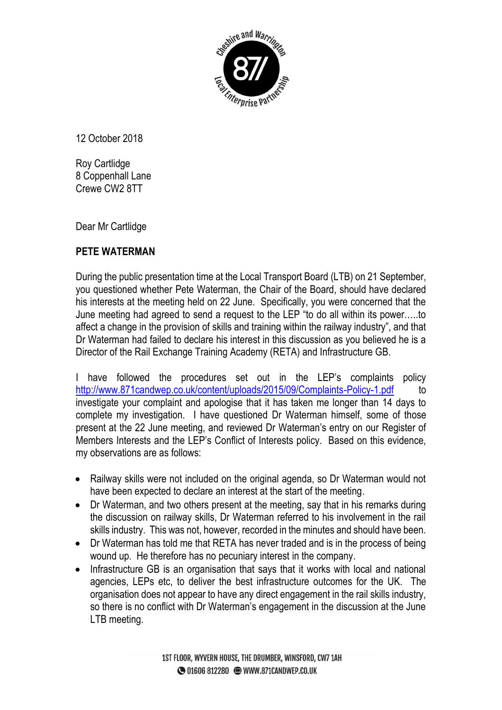

12 October 2018

Roy Cartlidge 8 Coppenhall Lane Crewe CW2 8TT

Dear Mr Cartlidge

## **PETE WATERMAN**

During the public presentation time at the Local Transport Board (LTB) on 21 September, you questioned whether Pete Waterman, the Chair of the Board, should have declared his interests at the meeting held on 22 June. Specifically, you were concerned that the June meeting had agreed to send a request to the LEP "to do all within its power…..to affect a change in the provision of skills and training within the railway industry", and that Dr Waterman had failed to declare his interest in this discussion as you believed he is a Director of the Rail Exchange Training Academy (RETA) and Infrastructure GB.

I have followed the procedures set out in the LEP's complaints policy <http://www.871candwep.co.uk/content/uploads/2015/09/Complaints-Policy-1.pdf> to investigate your complaint and apologise that it has taken me longer than 14 days to complete my investigation. I have questioned Dr Waterman himself, some of those present at the 22 June meeting, and reviewed Dr Waterman's entry on our Register of Members Interests and the LEP's Conflict of Interests policy. Based on this evidence, my observations are as follows:

- Railway skills were not included on the original agenda, so Dr Waterman would not have been expected to declare an interest at the start of the meeting.
- Dr Waterman, and two others present at the meeting, say that in his remarks during the discussion on railway skills, Dr Waterman referred to his involvement in the rail skills industry. This was not, however, recorded in the minutes and should have been.
- Dr Waterman has told me that RETA has never traded and is in the process of being wound up. He therefore has no pecuniary interest in the company.
- Infrastructure GB is an organisation that says that it works with local and national agencies, LEPs etc, to deliver the best infrastructure outcomes for the UK. The organisation does not appear to have any direct engagement in the rail skills industry, so there is no conflict with Dr Waterman's engagement in the discussion at the June LTB meeting.